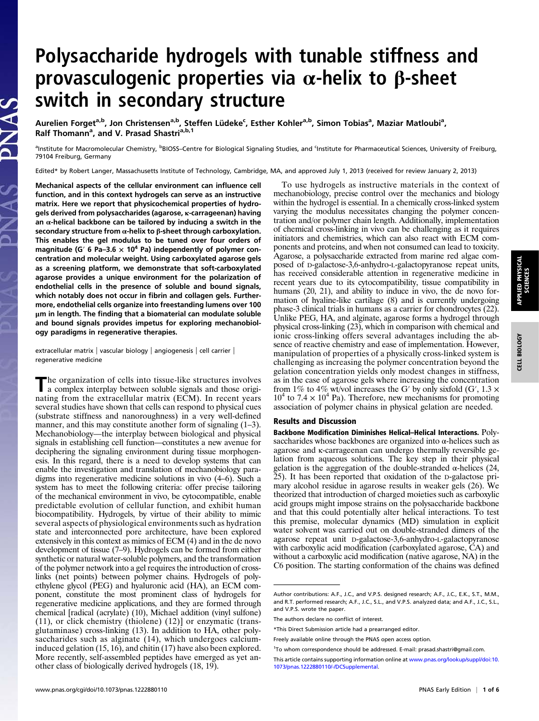## Polysaccharide hydrogels with tunable stiffness and provasculogenic properties via  $\alpha$ -helix to  $\beta$ -sheet switch in secondary structure

Aurelien Forget<sup>a,b</sup>, Jon Christensen<sup>a,b</sup>, Steffen Lüdeke<sup>c</sup>, Esther Kohler<sup>a,b</sup>, Simon Tobias<sup>a</sup>, Maziar Matloubi<sup>a</sup>, Ralf Thomann<sup>a</sup>, and V. Prasad Shastri<sup>a,b,1</sup>

anstitute for Macromolecular Chemistry, <sup>b</sup>BIOSS–Centre for Biological Signaling Studies, and <sup>c</sup>Institute for Pharmaceutical Sciences, University of Freiburg, 79104 Freiburg, Germany

Edited\* by Robert Langer, Massachusetts Institute of Technology, Cambridge, MA, and approved July 1, 2013 (received for review January 2, 2013)

Mechanical aspects of the cellular environment can influence cell function, and in this context hydrogels can serve as an instructive matrix. Here we report that physicochemical properties of hydrogels derived from polysaccharides (agarose, κ-carrageenan) having an  $\alpha$ -helical backbone can be tailored by inducing a switch in the secondary structure from  $α$ -helix to  $β$ -sheet through carboxylation. This enables the gel modulus to be tuned over four orders of magnitude (G' 6 Pa–3.6  $\times$  10<sup>4</sup> Pa) independently of polymer concentration and molecular weight. Using carboxylated agarose gels as a screening platform, we demonstrate that soft-carboxylated agarose provides a unique environment for the polarization of endothelial cells in the presence of soluble and bound signals, which notably does not occur in fibrin and collagen gels. Furthermore, endothelial cells organize into freestanding lumens over 100 μm in length. The finding that a biomaterial can modulate soluble and bound signals provides impetus for exploring mechanobiology paradigms in regenerative therapies.

extracellular matrix | vascular biology | angiogenesis | cell carrier | regenerative medicine

The organization of cells into tissue-like structures involves a complex interplay between soluble signals and those originating from the extracellular matrix (ECM). In recent years several studies have shown that cells can respond to physical cues (substrate stiffness and nanoroughness) in a very well-defined manner, and this may constitute another form of signaling  $(1-3)$ . Mechanobiology—the interplay between biological and physical signals in establishing cell function—constitutes a new avenue for deciphering the signaling environment during tissue morphogenesis. In this regard, there is a need to develop systems that can enable the investigation and translation of mechanobiology paradigms into regenerative medicine solutions in vivo (4–6). Such a system has to meet the following criteria: offer precise tailoring of the mechanical environment in vivo, be cytocompatible, enable predictable evolution of cellular function, and exhibit human biocompatibility. Hydrogels, by virtue of their ability to mimic several aspects of physiological environments such as hydration state and interconnected pore architecture, have been explored extensively in this context as mimics of ECM (4) and in the de novo development of tissue (7–9). Hydrogels can be formed from either synthetic or natural water-soluble polymers, and the transformation of the polymer network into a gel requires the introduction of crosslinks (net points) between polymer chains. Hydrogels of polyethylene glycol (PEG) and hyaluronic acid (HA), an ECM component, constitute the most prominent class of hydrogels for regenerative medicine applications, and they are formed through chemical [radical (acrylate) (10), Michael addition (vinyl sulfone) (11), or click chemistry (thiolene) (12)] or enzymatic (transglutaminase) cross-linking (13). In addition to HA, other polysaccharides such as alginate (14), which undergoes calciuminduced gelation (15, 16), and chitin (17) have also been explored. More recently, self-assembled peptides have emerged as yet another class of biologically derived hydrogels (18, 19).

To use hydrogels as instructive materials in the context of mechanobiology, precise control over the mechanics and biology within the hydrogel is essential. In a chemically cross-linked system varying the modulus necessitates changing the polymer concentration and/or polymer chain length. Additionally, implementation of chemical cross-linking in vivo can be challenging as it requires initiators and chemistries, which can also react with ECM components and proteins, and when not consumed can lead to toxicity. Agarose, a polysaccharide extracted from marine red algae composed of D-galactose-3,6-anhydro-L-galactopyranose repeat units, has received considerable attention in regenerative medicine in recent years due to its cytocompatibility, tissue compatibility in humans (20, 21), and ability to induce in vivo, the de novo formation of hyaline-like cartilage (8) and is currently undergoing phase-3 clinical trials in humans as a carrier for chondrocytes (22). Unlike PEG, HA, and alginate, agarose forms a hydrogel through physical cross-linking (23), which in comparison with chemical and ionic cross-linking offers several advantages including the absence of reactive chemistry and ease of implementation. However, manipulation of properties of a physically cross-linked system is challenging as increasing the polymer concentration beyond the gelation concentration yields only modest changes in stiffness, as in the case of agarose gels where increasing the concentration from 1% to 4% wt/vol increases the G' by only sixfold (G',  $1.3 \times$  $10^4$  to 7.4  $\times$  10<sup>4</sup> Pa). Therefore, new mechanisms for promoting association of polymer chains in physical gelation are needed.

## Results and Discussion

Backbone Modification Diminishes Helical–Helical Interactions. Polysaccharides whose backbones are organized into  $\alpha$ -helices such as agarose and κ-carrageenan can undergo thermally reversible gelation from aqueous solutions. The key step in their physical gelation is the aggregation of the double-stranded  $\alpha$ -helices (24, 25). It has been reported that oxidation of the D-galactose primary alcohol residue in agarose results in weaker gels (26). We theorized that introduction of charged moieties such as carboxylic acid groups might impose strains on the polysaccharide backbone and that this could potentially alter helical interactions. To test this premise, molecular dynamics (MD) simulation in explicit water solvent was carried out on double-stranded dimers of the agarose repeat unit D-galactose-3,6-anhydro-L-galactopyranose with carboxylic acid modification (carboxylated agarose, CA) and without a carboxylic acid modification (native agarose, NA) in the C6 position. The starting conformation of the chains was defined

Author contributions: A.F., J.C., and V.P.S. designed research; A.F., J.C., E.K., S.T., M.M., and R.T. performed research; A.F., J.C., S.L., and V.P.S. analyzed data; and A.F., J.C., S.L., and V.P.S. wrote the paper.

The authors declare no conflict of interest.

<sup>\*</sup>This Direct Submission article had a prearranged editor.

Freely available online through the PNAS open access option.

<sup>&</sup>lt;sup>1</sup>To whom correspondence should be addressed. E-mail: [prasad.shastri@gmail.com](mailto:prasad.shastri@gmail.com).

This article contains supporting information online at [www.pnas.org/lookup/suppl/doi:10.](http://www.pnas.org/lookup/suppl/doi:10.1073/pnas.1222880110/-/DCSupplemental) [1073/pnas.1222880110/-/DCSupplemental](http://www.pnas.org/lookup/suppl/doi:10.1073/pnas.1222880110/-/DCSupplemental).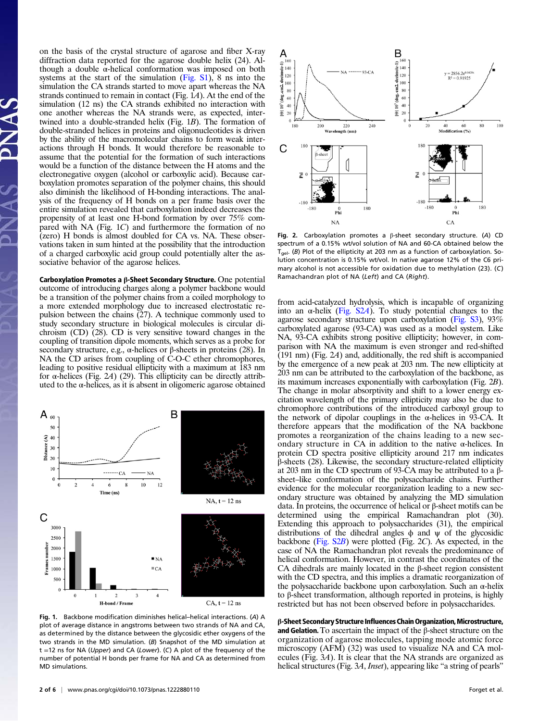on the basis of the crystal structure of agarose and fiber X-ray diffraction data reported for the agarose double helix (24). Although a double α-helical conformation was imposed on both systems at the start of the simulation [\(Fig. S1](http://www.pnas.org/lookup/suppl/doi:10.1073/pnas.1222880110/-/DCSupplemental/pnas.201222880SI.pdf?targetid=nameddest=SF1)), 8 ns into the simulation the CA strands started to move apart whereas the NA strands continued to remain in contact (Fig.  $\overline{1}A$ ). At the end of the simulation (12 ns) the CA strands exhibited no interaction with one another whereas the NA strands were, as expected, intertwined into a double-stranded helix (Fig. 1B). The formation of double-stranded helices in proteins and oligonucleotides is driven by the ability of the macromolecular chains to form weak interactions through H bonds. It would therefore be reasonable to assume that the potential for the formation of such interactions would be a function of the distance between the H atoms and the electronegative oxygen (alcohol or carboxylic acid). Because carboxylation promotes separation of the polymer chains, this should also diminish the likelihood of H-bonding interactions. The analysis of the frequency of H bonds on a per frame basis over the entire simulation revealed that carboxylation indeed decreases the propensity of at least one H-bond formation by over 75% compared with NA (Fig. 1C) and furthermore the formation of no (zero) H bonds is almost doubled for CA vs. NA. These observations taken in sum hinted at the possibility that the introduction of a charged carboxylic acid group could potentially alter the associative behavior of the agarose helices.

Carboxylation Promotes a β-Sheet Secondary Structure. One potential outcome of introducing charges along a polymer backbone would be a transition of the polymer chains from a coiled morphology to a more extended morphology due to increased electrostatic repulsion between the chains  $(27)$ . A technique commonly used to study secondary structure in biological molecules is circular dichroism (CD) (28). CD is very sensitive toward changes in the coupling of transition dipole moments, which serves as a probe for secondary structure, e.g.,  $\alpha$ -helices or  $\beta$ -sheets in proteins (28). In NA the CD arises from coupling of C-O-C ether chromophores, leading to positive residual ellipticity with a maximum at 183 nm for α-helices (Fig. 2A) (29). This ellipticity can be directly attributed to the  $\alpha$ -helices, as it is absent in oligomeric agarose obtained



Fig. 1. Backbone modification diminishes helical–helical interactions. (A) A plot of average distance in angstroms between two strands of NA and CA, as determined by the distance between the glycosidic ether oxygens of the two strands in the MD simulation. (B) Snapshot of the MD simulation at t =12 ns for NA (Upper) and CA (Lower). (C) A plot of the frequency of the number of potential H bonds per frame for NA and CA as determined from MD simulations.



Fig. 2. Carboxylation promotes a β-sheet secondary structure. (A) CD spectrum of a 0.15% wt/vol solution of NA and 60-CA obtained below the T<sub>gel</sub>. (B) Plot of the ellipticity at 203 nm as a function of carboxylation. Solution concentration is 0.15% wt/vol. In native agarose 12% of the C6 primary alcohol is not accessible for oxidation due to methylation (23). (C) Ramachandran plot of NA (Left) and CA (Right).

from acid-catalyzed hydrolysis, which is incapable of organizing into an  $\alpha$ -helix [\(Fig. S2](http://www.pnas.org/lookup/suppl/doi:10.1073/pnas.1222880110/-/DCSupplemental/pnas.201222880SI.pdf?targetid=nameddest=SF2)A). To study potential changes to the agarose secondary structure upon carboxylation [\(Fig. S3\)](http://www.pnas.org/lookup/suppl/doi:10.1073/pnas.1222880110/-/DCSupplemental/pnas.201222880SI.pdf?targetid=nameddest=SF3), 93% carboxylated agarose (93-CA) was used as a model system. Like NA, 93-CA exhibits strong positive ellipticity; however, in comparison with NA the maximum is even stronger and red-shifted  $(191 \text{ nm})$  (Fig. 24) and, additionally, the red shift is accompanied by the emergence of a new peak at 203 nm. The new ellipticity at 203 nm can be attributed to the carboxylation of the backbone, as its maximum increases exponentially with carboxylation (Fig. 2B). The change in molar absorptivity and shift to a lower energy excitation wavelength of the primary ellipticity may also be due to chromophore contributions of the introduced carboxyl group to the network of dipolar couplings in the  $\alpha$ -helices in 93-CA. It therefore appears that the modification of the NA backbone promotes a reorganization of the chains leading to a new secondary structure in CA in addition to the native  $\alpha$ -helices. In protein CD spectra positive ellipticity around 217 nm indicates β-sheets (28). Likewise, the secondary structure-related ellipticity at 203 nm in the CD spectrum of 93-CA may be attributed to a βsheet–like conformation of the polysaccharide chains. Further evidence for the molecular reorganization leading to a new secondary structure was obtained by analyzing the MD simulation data. In proteins, the occurrence of helical or β-sheet motifs can be determined using the empirical Ramachandran plot (30). Extending this approach to polysaccharides (31), the empirical distributions of the dihedral angles  $\phi$  and  $\psi$  of the glycosidic backbone [\(Fig. S2](http://www.pnas.org/lookup/suppl/doi:10.1073/pnas.1222880110/-/DCSupplemental/pnas.201222880SI.pdf?targetid=nameddest=SF2)B) were plotted (Fig. 2C). As expected, in the case of NA the Ramachandran plot reveals the predominance of helical conformation. However, in contrast the coordinates of the CA dihedrals are mainly located in the β-sheet region consistent with the CD spectra, and this implies a dramatic reorganization of the polysaccharide backbone upon carboxylation. Such an α-helix to β-sheet transformation, although reported in proteins, is highly restricted but has not been observed before in polysaccharides.

β-Sheet Secondary Structure Influences Chain Organization, Microstructure, and Gelation. To ascertain the impact of the β-sheet structure on the organization of agarose molecules, tapping mode atomic force microscopy (AFM) (32) was used to visualize NA and CA molecules (Fig. 3A). It is clear that the NA strands are organized as helical structures (Fig. 3A, *Inset*), appearing like "a string of pearls"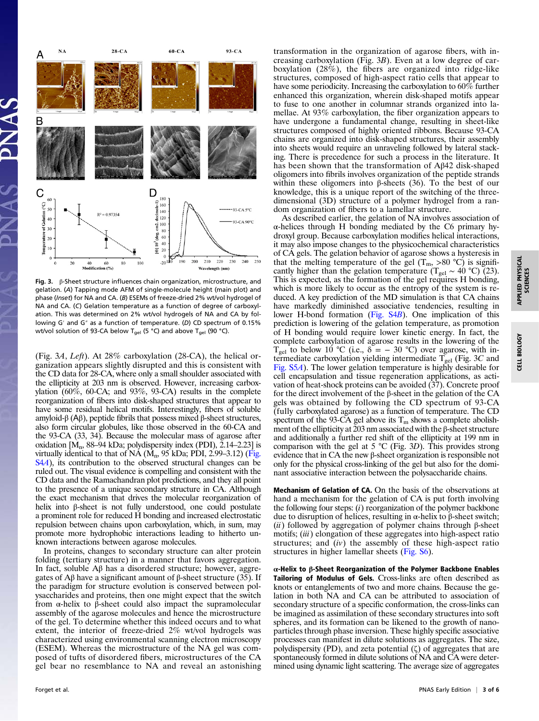

Fig. 3. β-Sheet structure influences chain organization, microstructure, and gelation. (A) Tapping mode AFM of single-molecule height (main plot) and phase (Inset) for NA and CA. (B) ESEMs of freeze-dried 2% wt/vol hydrogel of NA and CA. (C) Gelation temperature as a function of degree of carboxylation. This was determined on 2% wt/vol hydrogels of NA and CA by following G′ and G″ as a function of temperature. (D) CD spectrum of 0.15% wt/vol solution of 93-CA below T<sub>gel</sub> (5 °C) and above T<sub>gel</sub> (90 °C).

(Fig. 3A, Left). At 28% carboxylation (28-CA), the helical organization appears slightly disrupted and this is consistent with the CD data for 28-CA, where only a small shoulder associated with the ellipticity at 203 nm is observed. However, increasing carboxylation  $(60\%, 60\text{-CA};$  and  $93\%, 93\text{-CA}$  results in the complete reorganization of fibers into disk-shaped structures that appear to have some residual helical motifs. Interestingly, fibers of soluble amyloid-β (Αβ), peptide fibrils that possess mixed β-sheet structures, also form circular globules, like those observed in the 60-CA and the 93-CA (33, 34). Because the molecular mass of agarose after oxidation  $\hat{M}_n$ , 88–94 kDa; polydispersity index (PDI), 2.14–2.23] is virtually identical to that of NA  $(M_n, 95 \text{ kDa}; \text{PDI}, 2.99-3.12)$  ([Fig.](http://www.pnas.org/lookup/suppl/doi:10.1073/pnas.1222880110/-/DCSupplemental/pnas.201222880SI.pdf?targetid=nameddest=SF4) [S4](http://www.pnas.org/lookup/suppl/doi:10.1073/pnas.1222880110/-/DCSupplemental/pnas.201222880SI.pdf?targetid=nameddest=SF4)A), its contribution to the observed structural changes can be ruled out. The visual evidence is compelling and consistent with the CD data and the Ramachandran plot predictions, and they all point to the presence of a unique secondary structure in CA. Although the exact mechanism that drives the molecular reorganization of helix into β-sheet is not fully understood, one could postulate a prominent role for reduced H bonding and increased electrostatic repulsion between chains upon carboxylation, which, in sum, may promote more hydrophobic interactions leading to hitherto unknown interactions between agarose molecules.

In proteins, changes to secondary structure can alter protein folding (tertiary structure) in a manner that favors aggregation. In fact, soluble Aβ has a disordered structure; however, aggregates of Aβ have a significant amount of β-sheet structure (35). If the paradigm for structure evolution is conserved between polysaccharides and proteins, then one might expect that the switch from α-helix to β-sheet could also impact the supramolecular assembly of the agarose molecules and hence the microstructure of the gel. To determine whether this indeed occurs and to what extent, the interior of freeze-dried 2% wt/vol hydrogels was characterized using environmental scanning electron microscopy (ESEM). Whereas the microstructure of the NA gel was composed of tufts of disordered fibers, microstructures of the CA gel bear no resemblance to NA and reveal an astonishing

transformation in the organization of agarose fibers, with increasing carboxylation (Fig. 3B). Even at a low degree of carboxylation (28%), the fibers are organized into ridge-like structures, composed of high-aspect ratio cells that appear to have some periodicity. Increasing the carboxylation to 60% further enhanced this organization, wherein disk-shaped motifs appear to fuse to one another in columnar strands organized into lamellae. At 93% carboxylation, the fiber organization appears to have undergone a fundamental change, resulting in sheet-like structures composed of highly oriented ribbons. Because 93-CA chains are organized into disk-shaped structures, their assembly into sheets would require an unraveling followed by lateral stacking. There is precedence for such a process in the literature. It has been shown that the transformation of Aβ42 disk-shaped oligomers into fibrils involves organization of the peptide strands within these oligomers into β-sheets (36). To the best of our knowledge, this is a unique report of the switching of the threedimensional (3D) structure of a polymer hydrogel from a random organization of fibers to a lamellar structure.

As described earlier, the gelation of NA involves association of α-helices through H bonding mediated by the C6 primary hydroxyl group. Because carboxylation modifies helical interactions, it may also impose changes to the physicochemical characteristics of CA gels. The gelation behavior of agarose shows a hysteresis in that the melting temperature of the gel  $(T_m, >80 \degree C)$  is significantly higher than the gelation temperature (T<sub>gel</sub> ~ 40 °C) (23). This is expected, as the formation of the gel requires H bonding, which is more likely to occur as the entropy of the system is reduced. A key prediction of the MD simulation is that CA chains have markedly diminished associative tendencies, resulting in lower H-bond formation ([Fig. S4](http://www.pnas.org/lookup/suppl/doi:10.1073/pnas.1222880110/-/DCSupplemental/pnas.201222880SI.pdf?targetid=nameddest=SF4)B). One implication of this prediction is lowering of the gelation temperature, as promotion of H bonding would require lower kinetic energy. In fact, the complete carboxylation of agarose results in the lowering of the  $T_{gel}$  to below 10 °C (i.e.,  $\delta = -30$  °C) over agarose, with intermediate carboxylation yielding intermediate  $T_{gel}$  (Fig. 3C and [Fig. S5](http://www.pnas.org/lookup/suppl/doi:10.1073/pnas.1222880110/-/DCSupplemental/pnas.201222880SI.pdf?targetid=nameddest=SF5)A). The lower gelation temperature is highly desirable for cell encapsulation and tissue regeneration applications, as activation of heat-shock proteins can be avoided (37). Concrete proof for the direct involvement of the β-sheet in the gelation of the CA gels was obtained by following the CD spectrum of 93-CA (fully carboxylated agarose) as a function of temperature. The CD spectrum of the 93-CA gel above its  $T_m$  shows a complete abolishment of the ellipticity at  $203$  nm associated with the  $\beta$ -sheet structure and additionally a further red shift of the ellipticity at 199 nm in comparison with the gel at 5  $\degree$ C (Fig. 3D). This provides strong evidence that in CA the new β-sheet organization is responsible not only for the physical cross-linking of the gel but also for the dominant associative interaction between the polysaccharide chains.

Mechanism of Gelation of CA. On the basis of the observations at hand a mechanism for the gelation of CA is put forth involving the following four steps:  $(i)$  reorganization of the polymer backbone due to disruption of helices, resulting in α-helix to β-sheet switch; (ii) followed by aggregation of polymer chains through  $\beta$ -sheet motifs; (iii) elongation of these aggregates into high-aspect ratio structures; and  $(iv)$  the assembly of these high-aspect ratio structures in higher lamellar sheets [\(Fig. S6\)](http://www.pnas.org/lookup/suppl/doi:10.1073/pnas.1222880110/-/DCSupplemental/pnas.201222880SI.pdf?targetid=nameddest=SF6).

α-Helix to β-Sheet Reorganization of the Polymer Backbone Enables Tailoring of Modulus of Gels. Cross-links are often described as knots or entanglements of two and more chains. Because the gelation in both NA and CA can be attributed to association of secondary structure of a specific conformation, the cross-links can be imagined as assimilation of these secondary structures into soft spheres, and its formation can be likened to the growth of nanoparticles through phase inversion. These highly specific associative processes can manifest in dilute solutions as aggregates. The size, polydispersity (PD), and zeta potential (ζ) of aggregates that are spontaneously formed in dilute solutions of NA and CA were determined using dynamic light scattering. The average size of aggregates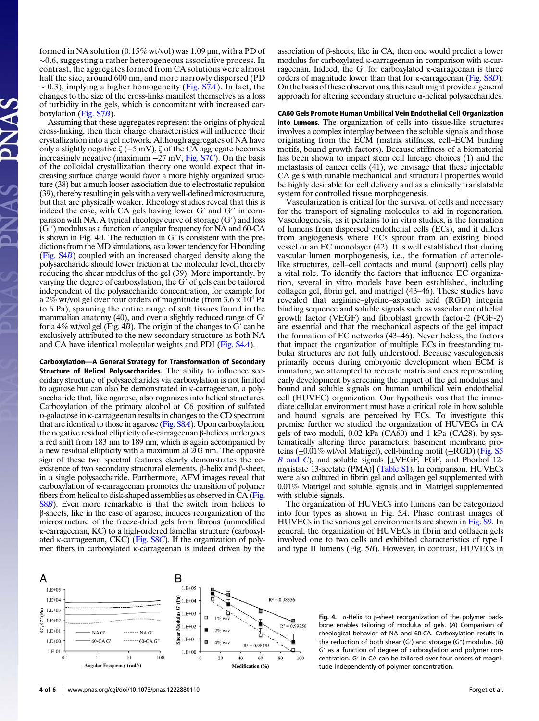formed in NA solution  $(0.15\% \text{ wt/vol})$  was  $1.09 \mu \text{m}$ , with a PD of ∼0.6, suggesting a rather heterogeneous associative process. In contrast, the aggregates formed from CA solutions were almost half the size, around 600 nm, and more narrowly dispersed (PD  $~\sim$  0.3), implying a higher homogeneity ([Fig. S7](http://www.pnas.org/lookup/suppl/doi:10.1073/pnas.1222880110/-/DCSupplemental/pnas.201222880SI.pdf?targetid=nameddest=SF7)A). In fact, the changes to the size of the cross-links manifest themselves as a loss of turbidity in the gels, which is concomitant with increased carboxylation ([Fig. S7](http://www.pnas.org/lookup/suppl/doi:10.1073/pnas.1222880110/-/DCSupplemental/pnas.201222880SI.pdf?targetid=nameddest=SF7)B).

Assuming that these aggregates represent the origins of physical cross-linking, then their charge characteristics will influence their crystallization into a gel network. Although aggregates of NA have only a slightly negative ζ (−5 mV), ζ of the CA aggregate becomes increasingly negative (maximum  $-27$  mV, Fig.  $\overline{STC}$ ). On the basis of the colloidal crystallization theory one would expect that increasing surface charge would favor a more highly organized structure (38) but a much looser association due to electrostatic repulsion (39), thereby resulting in gels with a very well-defined microstructure, but that are physically weaker. Rheology studies reveal that this is indeed the case, with CA gels having lower G′ and G′′ in comparison with NA. A typical rheology curve of storage (G′) and loss (G′′) modulus as a function of angular frequency for NA and 60-CA is shown in Fig. 4A. The reduction in G′ is consistent with the predictions from the MD simulations, as a lower tendency for H bonding [\(Fig. S4](http://www.pnas.org/lookup/suppl/doi:10.1073/pnas.1222880110/-/DCSupplemental/pnas.201222880SI.pdf?targetid=nameddest=SF4)B) coupled with an increased charged density along the polysaccharide should lower friction at the molecular level, thereby reducing the shear modulus of the gel (39). More importantly, by varying the degree of carboxylation, the G′ of gels can be tailored independent of the polysaccharide concentration, for example for a 2\% wt/vol gel over four orders of magnitude (from  $3.6 \times 10^4$  Pa to 6 Pa), spanning the entire range of soft tissues found in the mammalian anatomy (40), and over a slightly reduced range of G<sup>'</sup> for a  $4\%$  wt/vol gel (Fig. 4B). The origin of the changes to G' can be exclusively attributed to the new secondary structure as both NA and CA have identical molecular weights and PDI [\(Fig. S4](http://www.pnas.org/lookup/suppl/doi:10.1073/pnas.1222880110/-/DCSupplemental/pnas.201222880SI.pdf?targetid=nameddest=SF4)A).

Carboxylation—A General Strategy for Transformation of Secondary Structure of Helical Polysaccharides. The ability to influence secondary structure of polysaccharides via carboxylation is not limited to agarose but can also be demonstrated in κ-carrageenan, a polysaccharide that, like agarose, also organizes into helical structures. Carboxylation of the primary alcohol at C6 position of sulfated D-galactose in κ-carrageenan results in changes to the CD spectrum that are identical to those in agarose [\(Fig. S8](http://www.pnas.org/lookup/suppl/doi:10.1073/pnas.1222880110/-/DCSupplemental/pnas.201222880SI.pdf?targetid=nameddest=SF8)A). Upon carboxylation, the negative residual ellipticity of κ-carrageenan β-helices undergoes a red shift from 183 nm to 189 nm, which is again accompanied by a new residual ellipticity with a maximum at 203 nm. The opposite sign of these two spectral features clearly demonstrates the coexistence of two secondary structural elements, β-helix and β-sheet, in a single polysaccharide. Furthermore, AFM images reveal that carboxylation of κ-carrageenan promotes the transition of polymer fibers from helical to disk-shaped assemblies as observed in CA [\(Fig.](http://www.pnas.org/lookup/suppl/doi:10.1073/pnas.1222880110/-/DCSupplemental/pnas.201222880SI.pdf?targetid=nameddest=SF8) [S8](http://www.pnas.org/lookup/suppl/doi:10.1073/pnas.1222880110/-/DCSupplemental/pnas.201222880SI.pdf?targetid=nameddest=SF8)B). Even more remarkable is that the switch from helices to β-sheets, like in the case of agarose, induces reorganization of the microstructure of the freeze-dried gels from fibrous (unmodified κ-carrageenan, KC) to a high-ordered lamellar structure (carboxylated κ-carrageenan, CKC) [\(Fig. S8](http://www.pnas.org/lookup/suppl/doi:10.1073/pnas.1222880110/-/DCSupplemental/pnas.201222880SI.pdf?targetid=nameddest=SF8)C). If the organization of polymer fibers in carboxylated κ-carrageenan is indeed driven by the association of β-sheets, like in CA, then one would predict a lower modulus for carboxylated κ-carrageenan in comparison with κ-carrageenan. Indeed, the G′ for carboxylated κ-carrageenan is three orders of magnitude lower than that for κ-carrageenan [\(Fig. S8](http://www.pnas.org/lookup/suppl/doi:10.1073/pnas.1222880110/-/DCSupplemental/pnas.201222880SI.pdf?targetid=nameddest=SF8)D). On the basis of these observations, this result might provide a general approach for altering secondary structure  $\alpha$ -helical polysaccharides.

CA60 Gels Promote Human Umbilical Vein Endothelial Cell Organization into Lumens. The organization of cells into tissue-like structures involves a complex interplay between the soluble signals and those originating from the ECM (matrix stiffness, cell–ECM binding motifs, bound growth factors). Because stiffness of a biomaterial has been shown to impact stem cell lineage choices (1) and the metastasis of cancer cells (41), we envisage that these injectable CA gels with tunable mechanical and structural properties would be highly desirable for cell delivery and as a clinically translatable system for controlled tissue morphogenesis.

Vascularization is critical for the survival of cells and necessary for the transport of signaling molecules to aid in regeneration. Vasculogenesis, as it pertains to in vitro studies, is the formation of lumens from dispersed endothelial cells (ECs), and it differs from angiogenesis where ECs sprout from an existing blood vessel or an EC monolayer (42). It is well established that during vascular lumen morphogenesis, i.e., the formation of arteriolelike structures, cell–cell contacts and mural (support) cells play a vital role. To identify the factors that influence EC organization, several in vitro models have been established, including collagen gel, fibrin gel, and matrigel (43–46). These studies have revealed that arginine–glycine–aspartic acid (RGD) integrin binding sequence and soluble signals such as vascular endothelial growth factor (VEGF) and fibroblast growth factor-2 (FGF-2) are essential and that the mechanical aspects of the gel impact the formation of EC networks (43–46). Nevertheless, the factors that impact the organization of multiple ECs in freestanding tubular structures are not fully understood. Because vasculogenesis primarily occurs during embryonic development when ECM is immature, we attempted to recreate matrix and cues representing early development by screening the impact of the gel modulus and bound and soluble signals on human umbilical vein endothelial cell (HUVEC) organization. Our hypothesis was that the immediate cellular environment must have a critical role in how soluble and bound signals are perceived by ECs. To investigate this premise further we studied the organization of HUVECs in CA gels of two moduli, 0.02 kPa (CA60) and 1 kPa (CA28), by systematically altering three parameters: basement membrane proteins  $(\pm 0.01\%$  wt/vol Matrigel), cell-binding motif  $(\pm \text{RGD})$  [\(Fig. S5](http://www.pnas.org/lookup/suppl/doi:10.1073/pnas.1222880110/-/DCSupplemental/pnas.201222880SI.pdf?targetid=nameddest=SF5)) B [and](http://www.pnas.org/lookup/suppl/doi:10.1073/pnas.1222880110/-/DCSupplemental/pnas.201222880SI.pdf?targetid=nameddest=SF5) C), and soluble signals  $[\pm VEGF, FGF, and Phorbol 12$ myristate 13-acetate (PMA)] [\(Table S1\)](http://www.pnas.org/lookup/suppl/doi:10.1073/pnas.1222880110/-/DCSupplemental/pnas.201222880SI.pdf?targetid=nameddest=ST1). In comparison, HUVECs were also cultured in fibrin gel and collagen gel supplemented with 0.01% Matrigel and soluble signals and in Matrigel supplemented with soluble signals.

The organization of HUVECs into lumens can be categorized into four types as shown in Fig. 5A. Phase contrast images of HUVECs in the various gel environments are shown in [Fig. S9.](http://www.pnas.org/lookup/suppl/doi:10.1073/pnas.1222880110/-/DCSupplemental/pnas.201222880SI.pdf?targetid=nameddest=SF9) In general, the organization of HUVECs in fibrin and collagen gels involved one to two cells and exhibited characteristics of type I and type II lumens (Fig. 5B). However, in contrast, HUVECs in



Fig. 4.  $\alpha$ -Helix to  $\beta$ -sheet reorganization of the polymer backbone enables tailoring of modulus of gels. (A) Comparison of rheological behavior of NA and 60-CA. Carboxylation results in the reduction of both shear (G′) and storage (G″) modulus. (B) G′ as a function of degree of carboxylation and polymer concentration. G′ in CA can be tailored over four orders of magnitude independently of polymer concentration.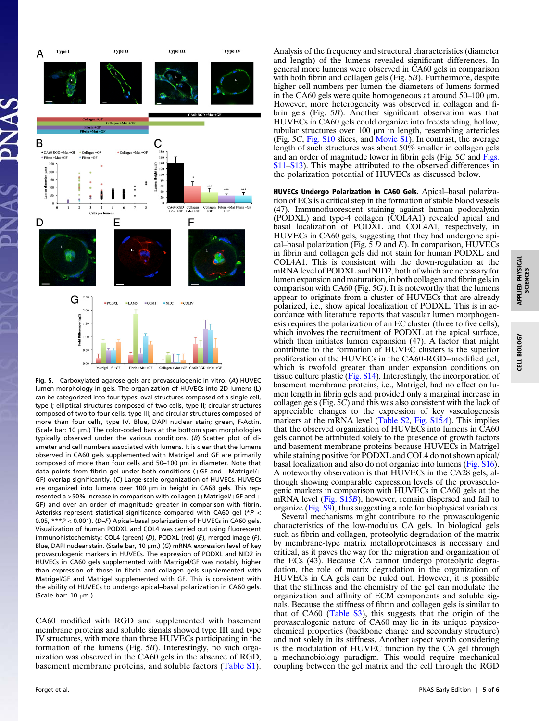

Fig. 5. Carboxylated agarose gels are provasculogenic in vitro. (A) HUVEC lumen morphology in gels. The organization of HUVECs into 2D lumens (L) can be categorized into four types: oval structures composed of a single cell, type I; elliptical structures composed of two cells, type II; circular structures composed of two to four cells, type III; and circular structures composed of more than four cells, type IV. Blue, DAPI nuclear stain; green, F-Actin. (Scale bar: 10 μm.) The color-coded bars at the bottom span morphologies typically observed under the various conditions. (B) Scatter plot of diameter and cell numbers associated with lumens. It is clear that the lumens observed in CA60 gels supplemented with Matrigel and GF are primarily composed of more than four cells and 50–100 μm in diameter. Note that data points from fibrin gel under both conditions (+GF and +Matrigel/+ GF) overlap significantly. (C) Large-scale organization of HUVECs. HUVECs are organized into lumens over 100 μm in height in CA68 gels. This represented a >50% increase in comparison with collagen (+Matrigel/+GF and + GF) and over an order of magnitude greater in comparison with fibrin. Asterisks represent statistical significance compared with CA60 gel (\*P < 0.05, \*\*\*P < 0.001). (D–F) Apical–basal polarization of HUVECs in CA60 gels. Visualization of human PODXL and COL4 was carried out using fluorescent immunohistochemisty: COL4 (green) (D), PODXL (red) (E), merged image (F). Blue, DAPI nuclear stain. (Scale bar, 10 μm.) (G) mRNA expression level of key provasculogenic markers in HUVECs. The expression of PODXL and NID2 in HUVECs in CA60 gels supplemented with Matrigel/GF was notably higher than expression of those in fibrin and collagen gels supplemented with Matrigel/GF and Matrigel supplemented with GF. This is consistent with the ability of HUVECs to undergo apical–basal polarization in CA60 gels. (Scale bar: 10 μm.)

CA60 modified with RGD and supplemented with basement membrane proteins and soluble signals showed type III and type IV structures, with more than three HUVECs participating in the formation of the lumens (Fig. 5B). Interestingly, no such organization was observed in the CA60 gels in the absence of RGD, basement membrane proteins, and soluble factors ([Table S1\)](http://www.pnas.org/lookup/suppl/doi:10.1073/pnas.1222880110/-/DCSupplemental/pnas.201222880SI.pdf?targetid=nameddest=ST1).

Analysis of the frequency and structural characteristics (diameter and length) of the lumens revealed significant differences. In general more lumens were observed in CA60 gels in comparison with both fibrin and collagen gels (Fig. 5B). Furthermore, despite higher cell numbers per lumen the diameters of lumens formed in the CA60 gels were quite homogeneous at around 50–100 μm. However, more heterogeneity was observed in collagen and fibrin gels (Fig. 5B). Another significant observation was that HUVECs in CA60 gels could organize into freestanding, hollow, tubular structures over 100 μm in length, resembling arterioles (Fig. 5C, [Fig. S10](http://www.pnas.org/lookup/suppl/doi:10.1073/pnas.1222880110/-/DCSupplemental/pnas.201222880SI.pdf?targetid=nameddest=SF10) slices, and [Movie S1\)](http://www.pnas.org/lookup/suppl/doi:10.1073/pnas.1222880110/-/DCSupplemental/sm01.avi). In contrast, the average length of such structures was about 50% smaller in collagen gels and an order of magnitude lower in fibrin gels (Fig. 5C and [Figs.](http://www.pnas.org/lookup/suppl/doi:10.1073/pnas.1222880110/-/DCSupplemental/pnas.201222880SI.pdf?targetid=nameddest=SF11) [S11](http://www.pnas.org/lookup/suppl/doi:10.1073/pnas.1222880110/-/DCSupplemental/pnas.201222880SI.pdf?targetid=nameddest=SF11)–[S13\)](http://www.pnas.org/lookup/suppl/doi:10.1073/pnas.1222880110/-/DCSupplemental/pnas.201222880SI.pdf?targetid=nameddest=SF13). This maybe attributed to the observed differences in the polarization potential of HUVECs as discussed below.

HUVECs Undergo Polarization in CA60 Gels. Apical–basal polarization of ECs is a critical step in the formation of stable blood vessels (47). Immunofluorescent staining against human podocalyxin (PODXL) and type-4 collagen (COL4A1) revealed apical and basal localization of PODXL and COL4A1, respectively, in HUVECs in CA60 gels, suggesting that they had undergone apical–basal polarization (Fig.  $5 D$  and E). In comparison, HUVECs in fibrin and collagen gels did not stain for human PODXL and COL4A1. This is consistent with the down-regulation at the mRNA level of PODXL and NID2, both of which are necessary for lumen expansion and maturation, in both collagen and fibrin gels in comparison with CA60 (Fig. 5G). It is noteworthy that the lumens appear to originate from a cluster of HUVECs that are already polarized, i.e., show apical localization of PODXL. This is in accordance with literature reports that vascular lumen morphogenesis requires the polarization of an EC cluster (three to five cells), which involves the recruitment of PODXL at the apical surface, which then initiates lumen expansion (47). A factor that might contribute to the formation of HUVEC clusters is the superior proliferation of the HUVECs in the CA60-RGD–modified gel, which is twofold greater than under expansion conditions on tissue culture plastic  $(Fig. S14)$  $(Fig. S14)$ . Interestingly, the incorporation of basement membrane proteins, i.e., Matrigel, had no effect on lumen length in fibrin gels and provided only a marginal increase in collagen gels (Fig. 5C) and this was also consistent with the lack of appreciable changes to the expression of key vasculogenesis markers at the mRNA level [\(Table S2](http://www.pnas.org/lookup/suppl/doi:10.1073/pnas.1222880110/-/DCSupplemental/pnas.201222880SI.pdf?targetid=nameddest=ST2), [Fig. S15](http://www.pnas.org/lookup/suppl/doi:10.1073/pnas.1222880110/-/DCSupplemental/pnas.201222880SI.pdf?targetid=nameddest=SF15)A). This implies that the observed organization of HUVECs into lumens in CA60 gels cannot be attributed solely to the presence of growth factors and basement membrane proteins because HUVECs in Matrigel while staining positive for PODXL and COL4 do not shown apical/ basal localization and also do not organize into lumens [\(Fig. S16](http://www.pnas.org/lookup/suppl/doi:10.1073/pnas.1222880110/-/DCSupplemental/pnas.201222880SI.pdf?targetid=nameddest=SF16)). A noteworthy observation is that HUVECs in the CA28 gels, although showing comparable expression levels of the provasculogenic markers in comparison with HUVECs in CA60 gels at the mRNA level [\(Fig. S15](http://www.pnas.org/lookup/suppl/doi:10.1073/pnas.1222880110/-/DCSupplemental/pnas.201222880SI.pdf?targetid=nameddest=SF15)B), however, remain dispersed and fail to organize [\(Fig. S9](http://www.pnas.org/lookup/suppl/doi:10.1073/pnas.1222880110/-/DCSupplemental/pnas.201222880SI.pdf?targetid=nameddest=SF9)), thus suggesting a role for biophysical variables.

Several mechanisms might contribute to the provasculogenic characteristics of the low-modulus CA gels. In biological gels such as fibrin and collagen, proteolytic degradation of the matrix by membrane-type matrix metalloproteinases is necessary and critical, as it paves the way for the migration and organization of the ECs (43). Because CA cannot undergo proteolytic degradation, the role of matrix degradation in the organization of HUVECs in CA gels can be ruled out. However, it is possible that the stiffness and the chemistry of the gel can modulate the organization and affinity of ECM components and soluble signals. Because the stiffness of fibrin and collagen gels is similar to that of CA60 ([Table S3](http://www.pnas.org/lookup/suppl/doi:10.1073/pnas.1222880110/-/DCSupplemental/pnas.201222880SI.pdf?targetid=nameddest=ST3)), this suggests that the origin of the provasculogenic nature of CA60 may lie in its unique physicochemical properties (backbone charge and secondary structure) and not solely in its stiffness. Another aspect worth considering is the modulation of HUVEC function by the CA gel through a mechanobiology paradigm. This would require mechanical coupling between the gel matrix and the cell through the RGD